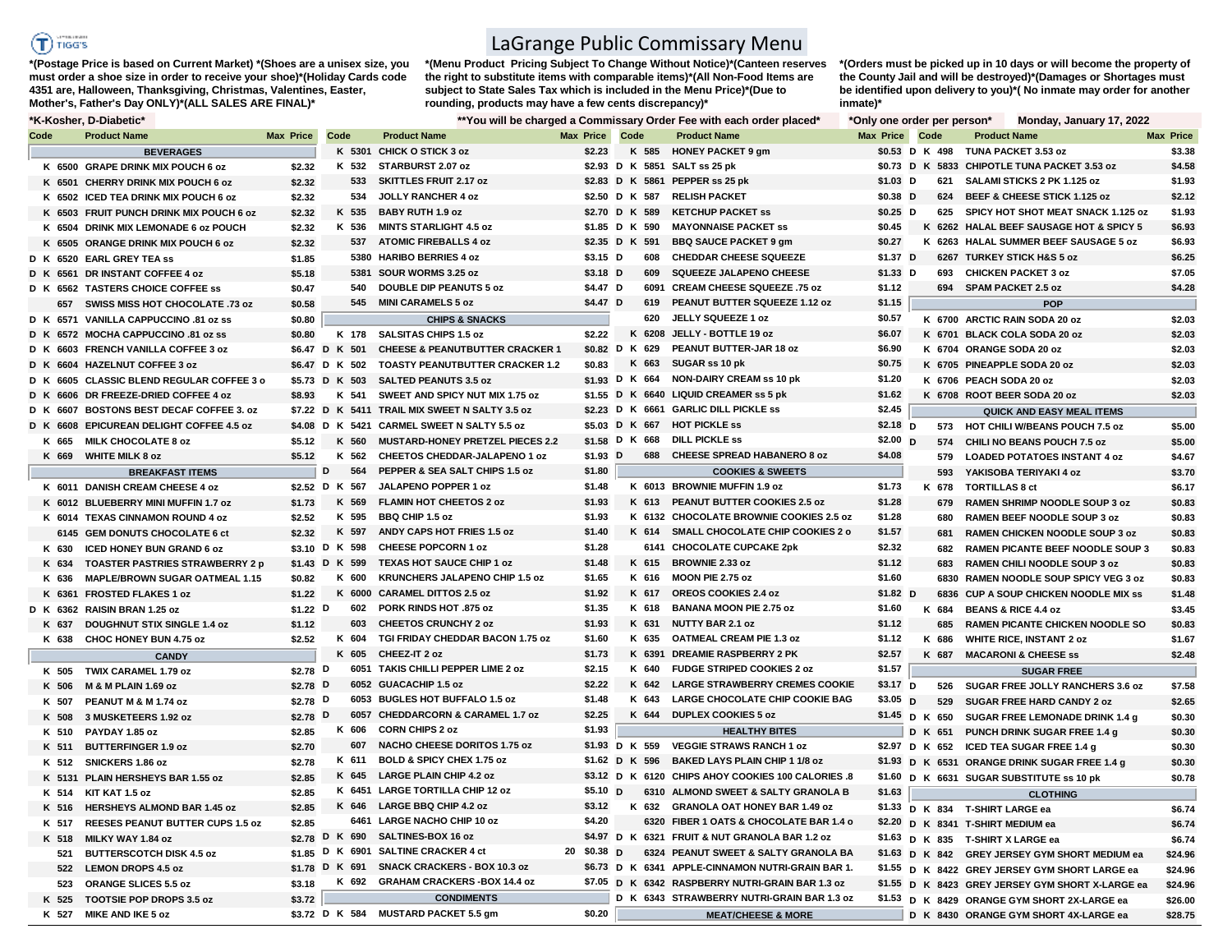## **TERRITORY**  $T$  riggs

**\*(Postage Price is based on Current Market) \*(Shoes are a unisex size, you must order a shoe size in order to receive your shoe)\*(Holiday Cards code 4351 are, Halloween, Thanksgiving, Christmas, Valentines, Easter, Mother's, Father's Day ONLY)\*(ALL SALES ARE FINAL)\***

LaGrange Public Commissary Menu

**\*(Menu Product Pricing Subject To Change Without Notice)\*(Canteen reserves the right to substitute items with comparable items)\*(All Non-Food Items are subject to State Sales Tax which is included in the Menu Price)\*(Due to rounding, products may have a few cents discrepancy)\*** 

**\*(Orders must be picked up in 10 days or will become the property of the County Jail and will be destroyed)\*(Damages or Shortages must be identified upon delivery to you)\*( No inmate may order for another inmate)\***

## **\*K-Kosher, D-Diabetic\* \*\*You will be charged a Commissary Order Fee with each order placed\* \*Only one order per person\* Monday, January 17, 2022**

|      |       | n nusiiti. D-Diabtuu                      |                       |                 |                                                |                  |                | Tod will be charged a Commissary Order Fee with each order placed | <b>Only one order per person</b> |                | MUHUAY, JAHUAI YIII, LULL                        |                  |
|------|-------|-------------------------------------------|-----------------------|-----------------|------------------------------------------------|------------------|----------------|-------------------------------------------------------------------|----------------------------------|----------------|--------------------------------------------------|------------------|
| Code |       | <b>Product Name</b>                       | Max Price             | Code            | <b>Product Name</b>                            | <b>Max Price</b> | Code           | <b>Product Name</b>                                               | <b>Max Price Code</b>            |                | <b>Product Name</b>                              | <b>Max Price</b> |
|      |       | <b>BEVERAGES</b>                          |                       |                 | K 5301 CHICK O STICK 3 oz                      | \$2.23           |                | K 585 HONEY PACKET 9 gm                                           |                                  | \$0.53 D K 498 | TUNA PACKET 3.53 oz                              | \$3.38           |
|      |       | K 6500 GRAPE DRINK MIX POUCH 6 oz         | \$2.32                | K 532           | STARBURST 2.07 oz                              |                  |                | \$2.93 D K 5851 SALT ss 25 pk                                     |                                  |                | \$0.73 D K 5833 CHIPOTLE TUNA PACKET 3.53 oz     | \$4.58           |
|      |       | K 6501 CHERRY DRINK MIX POUCH 6 oz        | \$2.32                | 533             | <b>SKITTLES FRUIT 2.17 oz</b>                  |                  |                | \$2.83 D K 5861 PEPPER ss 25 pk                                   | $$1.03$ D                        |                | 621 SALAMI STICKS 2 PK 1.125 oz                  | \$1.93           |
|      |       | K 6502 ICED TEA DRINK MIX POUCH 6 oz      | \$2.32                | 534             | JOLLY RANCHER 4 oz                             |                  | \$2.50 D K 587 | <b>RELISH PACKET</b>                                              | $$0.38$ D                        | 624            | BEEF & CHEESE STICK 1.125 oz                     | \$2.12           |
|      |       | K 6503 FRUIT PUNCH DRINK MIX POUCH 6 oz   | \$2.32                | K 535           | <b>BABY RUTH 1.9 oz</b>                        |                  | \$2.70 D K 589 | <b>KETCHUP PACKET SS</b>                                          | $$0.25$ D                        |                | 625 SPICY HOT SHOT MEAT SNACK 1.125 oz           | \$1.93           |
|      |       | K 6504 DRINK MIX LEMONADE 6 oz POUCH      | \$2.32                | K 536           | <b>MINTS STARLIGHT 4.5 oz</b>                  |                  | \$1.85 D K 590 | <b>MAYONNAISE PACKET SS</b>                                       | \$0.45                           |                | K 6262 HALAL BEEF SAUSAGE HOT & SPICY 5          | \$6.93           |
|      |       | K 6505 ORANGE DRINK MIX POUCH 6 oz        | \$2.32                |                 | 537 ATOMIC FIREBALLS 4 oz                      |                  | \$2.35 D K 591 | <b>BBQ SAUCE PACKET 9 gm</b>                                      | \$0.27                           |                | K 6263 HALAL SUMMER BEEF SAUSAGE 5 oz            | \$6.93           |
|      |       | D K 6520 EARL GREY TEA ss                 | \$1.85                |                 | 5380 HARIBO BERRIES 4 oz                       | $$3.15$ D        | 608            | <b>CHEDDAR CHEESE SQUEEZE</b>                                     | \$1.37 D                         |                | 6267 TURKEY STICK H&S 5 oz                       | \$6.25           |
|      |       | D K 6561 DR INSTANT COFFEE 4 oz           | \$5.18                |                 | 5381 SOUR WORMS 3.25 oz                        | $$3.18$ D        | 609            | <b>SQUEEZE JALAPENO CHEESE</b>                                    | $$1.33$ D                        |                | 693 CHICKEN PACKET 3 oz                          | \$7.05           |
|      |       | D K 6562 TASTERS CHOICE COFFEE SS         | \$0.47                | 540             | <b>DOUBLE DIP PEANUTS 5 oz</b>                 | \$4.47 D         |                | 6091 CREAM CHEESE SQUEEZE .75 oz                                  | \$1.12                           |                | 694 SPAM PACKET 2.5 oz                           | \$4.28           |
|      |       | 657 SWISS MISS HOT CHOCOLATE .73 oz       | \$0.58                | 545             | <b>MINI CARAMELS 5 oz</b>                      | \$4.47 D         | 619            | PEANUT BUTTER SQUEEZE 1.12 oz                                     | \$1.15                           |                | <b>POP</b>                                       |                  |
|      |       | D K 6571 VANILLA CAPPUCCINO .81 oz ss     | \$0.80                |                 | <b>CHIPS &amp; SNACKS</b>                      |                  | 620            | JELLY SQUEEZE 1 oz                                                | \$0.57                           |                | K 6700 ARCTIC RAIN SODA 20 oz                    | \$2.03           |
|      |       | D K 6572 MOCHA CAPPUCCINO .81 oz ss       | \$0.80                | K 178           | <b>SALSITAS CHIPS 1.5 oz</b>                   | \$2.22           |                | K 6208 JELLY - BOTTLE 19 oz                                       | \$6.07                           |                | K 6701 BLACK COLA SODA 20 oz                     | \$2.03           |
|      |       | D K 6603 FRENCH VANILLA COFFEE 3 oz       |                       | \$6.47 D K 501  | <b>CHEESE &amp; PEANUTBUTTER CRACKER 1</b>     |                  | \$0.82 D K 629 | PEANUT BUTTER-JAR 18 oz                                           | \$6.90                           |                | K 6704 ORANGE SODA 20 oz                         | \$2.03           |
|      |       | D K 6604 HAZELNUT COFFEE 3 oz             |                       | \$6.47 D K 502  | <b>TOASTY PEANUTBUTTER CRACKER 1.2</b>         | \$0.83           | K 663          | SUGAR ss 10 pk                                                    | \$0.75                           |                | K 6705 PINEAPPLE SODA 20 oz                      | \$2.03           |
|      |       | D K 6605 CLASSIC BLEND REGULAR COFFEE 3 o |                       | \$5.73 D K 503  | <b>SALTED PEANUTS 3.5 oz</b>                   |                  | \$1.93 D K 664 | <b>NON-DAIRY CREAM ss 10 pk</b>                                   | \$1.20                           |                | K 6706 PEACH SODA 20 oz                          | \$2.03           |
|      |       | D K 6606 DR FREEZE-DRIED COFFEE 4 oz      | \$8.93                | K 541           | SWEET AND SPICY NUT MIX 1.75 oz                |                  |                | \$1.55 D K 6640 LIQUID CREAMER ss 5 pk                            | \$1.62                           |                | K 6708 ROOT BEER SODA 20 oz                      | \$2.03           |
|      |       | D K 6607 BOSTONS BEST DECAF COFFEE 3, oz  |                       |                 | \$7.22 D K 5411 TRAIL MIX SWEET N SALTY 3.5 oz |                  |                | \$2.23 D K 6661 GARLIC DILL PICKLE ss                             | \$2.45                           |                | <b>QUICK AND EASY MEAL ITEMS</b>                 |                  |
|      |       | D K 6608 EPICUREAN DELIGHT COFFEE 4.5 oz  |                       | \$4.08 D K 5421 | <b>CARMEL SWEET N SALTY 5.5 oz</b>             |                  | \$5.03 D K 667 | <b>HOT PICKLE ss</b>                                              | $$2.18$ D                        |                | 573 HOT CHILI W/BEANS POUCH 7.5 oz               | \$5.00           |
|      | K 665 | <b>MILK CHOCOLATE 8 oz</b>                | \$5.12                | K 560           | MUSTARD-HONEY PRETZEL PIECES 2.2               |                  | \$1.58 D K 668 | <b>DILL PICKLE SS</b>                                             | \$2.00 $\overline{D}$            | 574            | CHILI NO BEANS POUCH 7.5 oz                      | \$5.00           |
|      |       | K 669 WHITE MILK 8 oz                     | \$5.12                | K 562           | <b>CHEETOS CHEDDAR-JALAPENO 1 oz</b>           | \$1.93 D         | 688            | <b>CHEESE SPREAD HABANERO 8 oz</b>                                | \$4.08                           | 579            | <b>LOADED POTATOES INSTANT 4 oz</b>              | \$4.67           |
|      |       | <b>BREAKFAST ITEMS</b>                    |                       | D<br>564        | PEPPER & SEA SALT CHIPS 1.5 oz                 | \$1.80           |                | <b>COOKIES &amp; SWEETS</b>                                       |                                  | 593            | YAKISOBA TERIYAKI 4 oz                           | \$3.70           |
|      |       | K 6011 DANISH CREAM CHEESE 4 oz           |                       | \$2.52 D K 567  | JALAPENO POPPER 1 oz                           | \$1.48           |                | K 6013 BROWNIE MUFFIN 1.9 oz                                      | \$1.73                           | K 678          | <b>TORTILLAS 8 ct</b>                            | \$6.17           |
|      |       | K 6012 BLUEBERRY MINI MUFFIN 1.7 oz       | \$1.73                | K 569           | <b>FLAMIN HOT CHEETOS 2 oz</b>                 | \$1.93           |                | K 613 PEANUT BUTTER COOKIES 2.5 oz                                | \$1.28                           |                | 679 RAMEN SHRIMP NOODLE SOUP 3 oz                | \$0.83           |
|      |       | K 6014 TEXAS CINNAMON ROUND 4 oz          | \$2.52                | K 595           | <b>BBQ CHIP 1.5 oz</b>                         | \$1.93           |                | K 6132 CHOCOLATE BROWNIE COOKIES 2.5 oz                           | \$1.28                           | 680            | <b>RAMEN BEEF NOODLE SOUP 3 oz</b>               | \$0.83           |
|      |       | 6145 GEM DONUTS CHOCOLATE 6 ct            | \$2.32                | K 597           | ANDY CAPS HOT FRIES 1.5 oz                     | \$1.40           |                | K 614 SMALL CHOCOLATE CHIP COOKIES 2 o                            | \$1.57                           | 681            | RAMEN CHICKEN NOODLE SOUP 3 oz                   | \$0.83           |
|      | K 630 | ICED HONEY BUN GRAND 6 oz                 |                       | \$3.10 D K 598  | <b>CHEESE POPCORN 1 oz</b>                     | \$1.28           |                | 6141 CHOCOLATE CUPCAKE 2pk                                        | \$2.32                           | 682            | RAMEN PICANTE BEEF NOODLE SOUP 3                 | \$0.83           |
|      |       | K 634 TOASTER PASTRIES STRAWBERRY 2 p     |                       | \$1.43 D K 599  | <b>TEXAS HOT SAUCE CHIP 1 oz</b>               | \$1.48           |                | K 615 BROWNIE 2.33 oz                                             | \$1.12                           | 683            | RAMEN CHILI NOODLE SOUP 3 oz                     | \$0.83           |
|      | K 636 | <b>MAPLE/BROWN SUGAR OATMEAL 1.15</b>     | \$0.82                | K 600           | KRUNCHERS JALAPENO CHIP 1.5 oz                 | \$1.65           |                | K 616 MOON PIE 2.75 oz                                            | \$1.60                           |                | 6830 RAMEN NOODLE SOUP SPICY VEG 3 oz            | \$0.83           |
|      |       | K 6361 FROSTED FLAKES 1 oz                | \$1.22                | K 6000          | <b>CARAMEL DITTOS 2.5 oz</b>                   | \$1.92           | K 617          | <b>OREOS COOKIES 2.4 oz</b>                                       | $$1.82$ D                        |                | 6836 CUP A SOUP CHICKEN NOODLE MIX SS            | \$1.48           |
|      |       | D K 6362 RAISIN BRAN 1.25 oz              | $$1.22$ D             | 602             | PORK RINDS HOT .875 oz                         | \$1.35           | K 618          | <b>BANANA MOON PIE 2.75 oz</b>                                    | \$1.60                           | K 684          | <b>BEANS &amp; RICE 4.4 oz</b>                   | \$3.45           |
|      | K 637 | <b>DOUGHNUT STIX SINGLE 1.4 oz</b>        | \$1.12                | 603             | <b>CHEETOS CRUNCHY 2 oz</b>                    | \$1.93           | K 631          | <b>NUTTY BAR 2.1 oz</b>                                           | \$1.12                           | 685            | <b>RAMEN PICANTE CHICKEN NOODLE SO</b>           | \$0.83           |
|      | K 638 | CHOC HONEY BUN 4.75 oz                    | \$2.52                | K 604           | TGI FRIDAY CHEDDAR BACON 1.75 oz               | \$1.60           | K 635          | <b>OATMEAL CREAM PIE 1.3 oz</b>                                   | \$1.12                           | K 686          | <b>WHITE RICE, INSTANT 2 oz</b>                  | \$1.67           |
|      |       | <b>CANDY</b>                              |                       | K 605           | CHEEZ-IT 2 oz                                  | \$1.73           |                | K 6391 DREAMIE RASPBERRY 2 PK                                     | \$2.57                           | K 687          | <b>MACARONI &amp; CHEESE ss</b>                  | \$2.48           |
|      |       | K 505 TWIX CARAMEL 1.79 oz                | \$2.78 $\overline{D}$ |                 | 6051 TAKIS CHILLI PEPPER LIME 2 oz             | \$2.15           | K 640          | <b>FUDGE STRIPED COOKIES 2 oz</b>                                 | \$1.57                           |                | <b>SUGAR FREE</b>                                |                  |
|      | K 506 | M & M PLAIN 1.69 oz                       | \$2.78 D              |                 | 6052 GUACACHIP 1.5 oz                          | \$2.22           | K 642          | <b>LARGE STRAWBERRY CREMES COOKIE</b>                             | $$3.17$ D                        | 526            | SUGAR FREE JOLLY RANCHERS 3.6 oz                 | \$7.58           |
|      | K 507 | PEANUT M & M 1.74 oz                      | \$2.78 D              |                 | 6053 BUGLES HOT BUFFALO 1.5 oz                 | \$1.48           | K 643          | LARGE CHOCOLATE CHIP COOKIE BAG                                   | $$3.05$ D                        | 529            | <b>SUGAR FREE HARD CANDY 2 oz</b>                | \$2.65           |
|      | K 508 | 3 MUSKETEERS 1.92 oz                      | \$2.78 $D$            |                 | 6057 CHEDDARCORN & CARAMEL 1.7 oz              | \$2.25           | K 644          | <b>DUPLEX COOKIES 5 oz</b>                                        |                                  |                | \$1.45 D K 650 SUGAR FREE LEMONADE DRINK 1.4 g   | \$0.30           |
|      | K 510 | PAYDAY 1.85 oz                            | \$2.85                | K 606           | <b>CORN CHIPS 2 oz</b>                         | \$1.93           |                | <b>HEALTHY BITES</b>                                              |                                  |                | D K 651 PUNCH DRINK SUGAR FREE 1.4 g             | \$0.30           |
|      | K 511 | <b>BUTTERFINGER 1.9 oz</b>                | \$2.70                | 607             | <b>NACHO CHEESE DORITOS 1.75 oz</b>            |                  | \$1.93 D K 559 | <b>VEGGIE STRAWS RANCH 1 oz</b>                                   |                                  |                | \$2.97 D K 652 ICED TEA SUGAR FREE 1.4 g         | \$0.30           |
|      |       | K 512 SNICKERS 1.86 oz                    | \$2.78                | K 611           | BOLD & SPICY CHEX 1.75 oz                      |                  | \$1.62 D K 596 | <b>BAKED LAYS PLAIN CHIP 1 1/8 oz</b>                             |                                  |                | \$1.93 D K 6531 ORANGE DRINK SUGAR FREE 1.4 g    | \$0.30           |
|      |       | K 5131 PLAIN HERSHEYS BAR 1.55 oz         | \$2.85                | K 645           | <b>LARGE PLAIN CHIP 4.2 oz</b>                 |                  |                | \$3.12 D K 6120 CHIPS AHOY COOKIES 100 CALORIES .8                |                                  |                | \$1.60 D K 6631 SUGAR SUBSTITUTE ss 10 pk        | \$0.78           |
|      |       | K 514 KIT KAT 1.5 oz                      | \$2.85                |                 | K 6451 LARGE TORTILLA CHIP 12 oz               | $$5.10$ D        |                | 6310 ALMOND SWEET & SALTY GRANOLA B                               | \$1.63                           |                | <b>CLOTHING</b>                                  |                  |
|      | K 516 | <b>HERSHEYS ALMOND BAR 1.45 oz</b>        | \$2.85                | K 646           | <b>LARGE BBQ CHIP 4.2 oz</b>                   | \$3.12           | K 632          | <b>GRANOLA OAT HONEY BAR 1.49 oz</b>                              |                                  |                | \$1.33 D K 834 T-SHIRT LARGE ea                  | \$6.74           |
|      | K 517 | <b>REESES PEANUT BUTTER CUPS 1.5 oz</b>   | \$2.85                |                 | 6461 LARGE NACHO CHIP 10 oz                    | \$4.20           |                | 6320 FIBER 1 OATS & CHOCOLATE BAR 1.4 o                           |                                  |                | \$2.20 D K 8341 T-SHIRT MEDIUM ea                | \$6.74           |
|      | K 518 | MILKY WAY 1.84 oz                         |                       | \$2.78 D K 690  | SALTINES-BOX 16 oz                             |                  |                | \$4.97 D K 6321 FRUIT & NUT GRANOLA BAR 1.2 oz                    |                                  |                | \$1.63 D K 835 T-SHIRT X LARGE ea                | \$6.74           |
|      | 521   | <b>BUTTERSCOTCH DISK 4.5 oz</b>           |                       |                 | \$1.85 D K 6901 SALTINE CRACKER 4 ct           | 20 \$0.38 D      |                | 6324 PEANUT SWEET & SALTY GRANOLA BA                              |                                  |                | \$1.63 D K 842 GREY JERSEY GYM SHORT MEDIUM ea   | \$24.96          |
|      |       | 522 LEMON DROPS 4.5 oz                    |                       | \$1.78 D K 691  | <b>SNACK CRACKERS - BOX 10.3 oz</b>            |                  |                | \$6.73 D K 6341 APPLE-CINNAMON NUTRI-GRAIN BAR 1.                 |                                  |                | \$1.55 D K 8422 GREY JERSEY GYM SHORT LARGE ea   | \$24.96          |
|      |       | 523 ORANGE SLICES 5.5 oz                  | \$3.18                |                 | K 692 GRAHAM CRACKERS-BOX 14.4 oz              |                  |                | \$7.05 D K 6342 RASPBERRY NUTRI-GRAIN BAR 1.3 oz                  |                                  |                | \$1.55 D K 8423 GREY JERSEY GYM SHORT X-LARGE ea | \$24.96          |
|      |       | K 525 TOOTSIE POP DROPS 3.5 oz            | \$3.72                |                 | <b>CONDIMENTS</b>                              |                  |                | D K 6343 STRAWBERRY NUTRI-GRAIN BAR 1.3 oz                        |                                  |                | \$1.53 D K 8429 ORANGE GYM SHORT 2X-LARGE ea     | \$26.00          |
|      |       | K 527 MIKE AND IKE 5 oz                   |                       |                 | \$3.72 D K 584 MUSTARD PACKET 5.5 gm           | \$0.20           |                | <b>MEAT/CHEESE &amp; MORE</b>                                     |                                  |                | D K 8430 ORANGE GYM SHORT 4X-LARGE ea            | \$28.75          |
|      |       |                                           |                       |                 |                                                |                  |                |                                                                   |                                  |                |                                                  |                  |